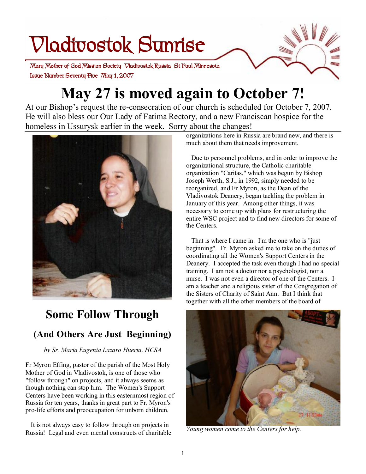# **Vladivostok Sunrise**

 **Issue Number Seventy Five May 1, 2007 Mary Mother of God Mission Society Vladivostok Russia St Paul Minnesota** 

# **May 27 is moved again to October 7!**

At our Bishop's request the re-consecration of our church is scheduled for October 7, 2007. He will also bless our Our Lady of Fatima Rectory, and a new Franciscan hospice for the homeless in Ussurysk earlier in the week. Sorry about the changes!



# **Some Follow Through (And Others Are Just Beginning)**

*by Sr. Maria Eugenia Lazaro Huerta, HCSA* 

Fr Myron Effing, pastor of the parish of the Most Holy Mother of God in Vladivostok, is one of those who "follow through" on projects, and it always seems as though nothing can stop him. The Women's Support Centers have been working in this easternmost region of Russia for ten years, thanks in great part to Fr. Myron's pro-life efforts and preoccupation for unborn children.

 It is not always easy to follow through on projects in Russia! Legal and even mental constructs of charitable

organizations here in Russia are brand new, and there is much about them that needs improvement.

 Due to personnel problems, and in order to improve the organizational structure, the Catholic charitable organization "Caritas," which was begun by Bishop Joseph Werth, S.J., in 1992, simply needed to be reorganized, and Fr Myron, as the Dean of the Vladivostok Deanery, began tackling the problem in January of this year. Among other things, it was necessary to come up with plans for restructuring the entire WSC project and to find new directors for some of the Centers.

 That is where I came in. I'm the one who is "just beginning". Fr. Myron asked me to take on the duties of coordinating all the Women's Support Centers in the Deanery. I accepted the task even though I had no special training. I am not a doctor nor a psychologist, nor a nurse. I was not even a director of one of the Centers. I am a teacher and a religious sister of the Congregation of the Sisters of Charity of Saint Ann. But I think that together with all the other members of the board of



*Young women come to the Centers for help.*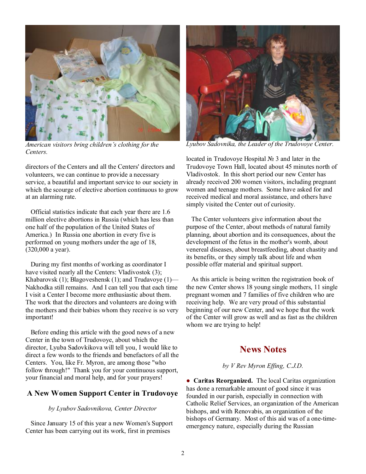

*American visitors bring children's clothing for the Centers.* 

directors of the Centers and all the Centers' directors and volunteers, we can continue to provide a necessary service, a beautiful and important service to our society in which the scourge of elective abortion continuous to grow at an alarming rate.

 Official statistics indicate that each year there are 1.6 million elective abortions in Russia (which has less than one half of the population of the United States of America.) In Russia one abortion in every five is performed on young mothers under the age of 18, (320,000 a year).

 During my first months of working as coordinator I have visited nearly all the Centers: Vladivostok (3); Khabarovsk (1); Blagoveshensk (1); and Trudavoye (1)— Nakhodka still remains. And I can tell you that each time I visit a Center I become more enthusiastic about them. The work that the directors and volunteers are doing with the mothers and their babies whom they receive is so very important!

 Before ending this article with the good news of a new Center in the town of Trudovoye, about which the director, Lyuba Sadovkikova will tell you, I would like to direct a few words to the friends and benefactors of all the Centers. You, like Fr. Myron, are among those "who follow through!" Thank you for your continuous support, your financial and moral help, and for your prayers!

#### **A New Women Support Center in Trudovoye**

#### *by Lyubov Sadovnikova, Center Director*

 Since January 15 of this year a new Women's Support Center has been carrying out its work, first in premises



*Lyubov Sadovnika, the Leader of the Trudovoye Center.* 

located in Trudovoye Hospital № 3 and later in the Trudovoye Town Hall, located about 45 minutes north of Vladivostok. In this short period our new Center has already received 200 women visitors, including pregnant women and teenage mothers. Some have asked for and received medical and moral assistance, and others have simply visited the Center out of curiosity.

 The Center volunteers give information about the purpose of the Center, about methods of natural family planning, about abortion and its consequences, about the development of the fetus in the mother's womb, about venereal diseases, about breastfeeding, about chastity and its benefits, or they simply talk about life and when possible offer material and spiritual support.

 As this article is being written the registration book of the new Center shows 18 young single mothers, 11 single pregnant women and 7 families of five children who are receiving help. We are very proud of this substantial beginning of our new Center, and we hope that the work of the Center will grow as well and as fast as the children whom we are trying to help!

### **News Notes**

#### *by V Rev Myron Effing, C.J.D.*

● **Caritas Reorganized.** The local Caritas organization has done a remarkable amount of good since it was founded in our parish, especially in connection with Catholic Relief Services, an organization of the American bishops, and with Renovabis, an organization of the bishops of Germany. Most of this aid was of a one-timeemergency nature, especially during the Russian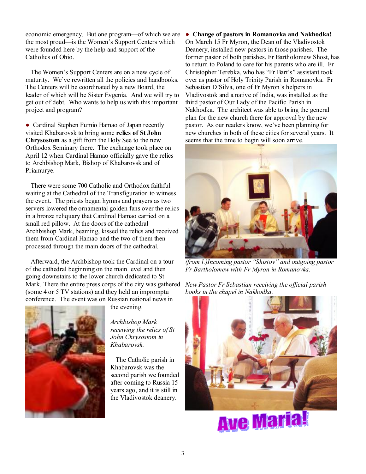economic emergency. But one program—of which we are the most proud—is the Women's Support Centers which were founded here by the help and support of the Catholics of Ohio.

 The Women's Support Centers are on a new cycle of maturity. We've rewritten all the policies and handbooks. The Centers will be coordinated by a new Board, the leader of which will be Sister Evgenia. And we will try to get out of debt. Who wants to help us with this important project and program?

● Cardinal Stephen Fumio Hamao of Japan recently visited Khabarovsk to bring some **relics of St John Chrysostom** as a gift from the Holy See to the new Orthodox Seminary there. The exchange took place on April 12 when Cardinal Hamao officially gave the relics to Archbishop Mark, Bishop of Khabarovsk and of Priamurye.

 There were some 700 Catholic and Orthodox faithful waiting at the Cathedral of the Transfiguration to witness the event. The priests began hymns and prayers as two servers lowered the ornamental golden fans over the relics in a bronze reliquary that Cardinal Hamao carried on a small red pillow. At the doors of the cathedral Archbishop Mark, beaming, kissed the relics and received them from Cardinal Hamao and the two of them then processed through the main doors of the cathedral.

 Afterward, the Archbishop took the Cardinal on a tour of the cathedral beginning on the main level and then going downstairs to the lower church dedicated to St Mark. There the entire press corps of the city was gathered (some 4 or 5 TV stations) and they held an impromptu conference. The event was on Russian national news in



the evening.

*Archbishop Mark receiving the relics of St John Chrysostom in Khabarovsk.*

 The Catholic parish in Khabarovsk was the second parish we founded after coming to Russia 15 years ago, and it is still in the Vladivostok deanery.

● **Change of pastors in Romanovka and Nakhodka!** On March 15 Fr Myron, the Dean of the Vladivostok Deanery, installed new pastors in those parishes. The former pastor of both parishes, Fr Bartholomew Shost, has to return to Poland to care for his parents who are ill. Fr Christopher Terebka, who has "Fr Bart's" assistant took over as pastor of Holy Trinity Parish in Romanovka. Fr Sebastian D'Silva, one of Fr Myron's helpers in Vladivostok and a native of India, was installed as the third pastor of Our Lady of the Pacific Parish in Nakhodka. The architect was able to bring the general plan for the new church there for approval by the new pastor. As our readers know, we've been planning for new churches in both of these cities for several years. It seems that the time to begin will soon arrive.



*(from l.)Incoming pastor "Shistov" and outgoing pastor Fr Bartholomew with Fr Myron in Romanovka.* 

*New Pastor Fr Sebastian receiving the official parish books in the chapel in Nakhodka.*



**Ave Maria!**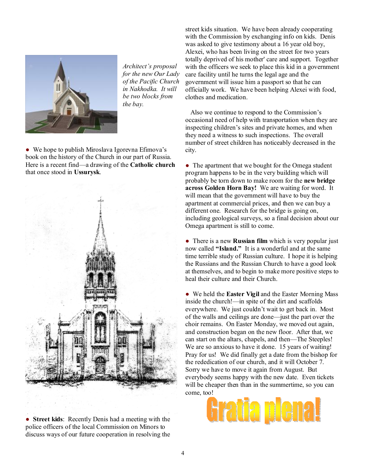

*Architect's proposal for the new Our Lady of the Pacific Church in Nakhodka. It will be two blocks from the bay.* 

• We hope to publish Miroslava Igorevna Efimova's book on the history of the Church in our part of Russia. Here is a recent find—a drawing of the **Catholic church** that once stood in **Ussurysk**.



● **Street kids**: Recently Denis had a meeting with the police officers of the local Commission on Minors to discuss ways of our future cooperation in resolving the street kids situation. We have been already cooperating with the Commission by exchanging info on kids. Denis was asked to give testimony about a 16 year old boy, Alexei, who has been living on the street for two years totally deprived of his mother' care and support. Together with the officers we seek to place this kid in a government care facility until he turns the legal age and the government will issue him a passport so that he can officially work. We have been helping Alexei with food, clothes and medication.

 Also we continue to respond to the Commission's occasional need of help with transportation when they are inspecting children's sites and private homes, and when they need a witness to such inspections. The overall number of street children has noticeably decreased in the city.

• The apartment that we bought for the Omega student program happens to be in the very building which will probably be torn down to make room for the **new bridge across Golden Horn Bay!** We are waiting for word. It will mean that the government will have to buy the apartment at commercial prices, and then we can buy a different one. Research for the bridge is going on, including geological surveys, so a final decision about our Omega apartment is still to come.

● There is a new **Russian film** which is very popular just now called **"Island."** It is a wonderful and at the same time terrible study of Russian culture. I hope it is helping the Russians and the Russian Church to have a good look at themselves, and to begin to make more positive steps to heal their culture and their Church.

● We held the **Easter Vigil** and the Easter Morning Mass inside the church!—in spite of the dirt and scaffolds everywhere. We just couldn't wait to get back in. Most of the walls and ceilings are done—just the part over the choir remains. On Easter Monday, we moved out again, and construction began on the new floor. After that, we can start on the altars, chapels, and then—The Steeples! We are so anxious to have it done. 15 years of waiting! Pray for us! We did finally get a date from the bishop for the rededication of our church, and it will October 7. Sorry we have to move it again from August. But everybody seems happy with the new date. Even tickets will be cheaper then than in the summertime, so you can come, too!

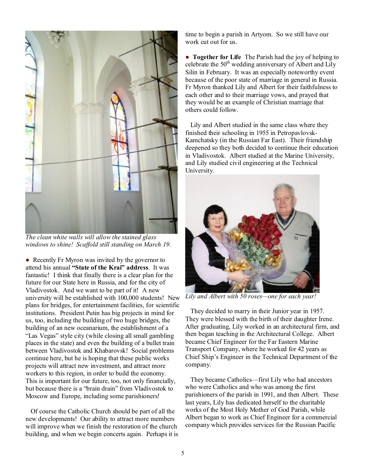

*The clean white walls will allow the stained glass windows to shine! Scaffold still standing on March 19.* 

• Recently Fr Myron was invited by the governor to attend his annual **"State of the Krai" address**. It was fantastic! I think that finally there is a clear plan for the future for our State here in Russia, and for the city of Vladivostok. And we want to be part of it! A new university will be established with 100,000 students! New plans for bridges, for entertainment facilities, for scientific institutions. President Putin has big projects in mind for us, too, including the building of two huge bridges, the building of an new oceanarium, the establishment of a "Las Vegas" style city (while closing all small gambling places in the state) and even the building of a bullet train between Vladivostok and Khabarovsk! Social problems continue here, but he is hoping that these public works projects will attract new investment, and attract more workers to this region, in order to build the economy. This is important for our future, too, not only financially, but because there is a "brain drain" from Vladivostok to Moscow and Europe, including some parishioners!

 Of course the Catholic Church should be part of all the new developments! Our ability to attract more members will improve when we finish the restoration of the church building, and when we begin concerts again. Perhaps it is time to begin a parish in Artyom. So we still have our work cut out for us.

● **Together for Life** The Parish had the joy of helping to celebrate the  $50<sup>th</sup>$  wedding anniversary of Albert and Lily Silin in February. It was an especially noteworthy event because of the poor state of marriage in general in Russia. Fr Myron thanked Lily and Albert for their faithfulness to each other and to their marriage vows, and prayed that they would be an example of Christian marriage that others could follow.

 Lily and Albert studied in the same class where they finished their schooling in 1955 in Petropavlovsk-Kamchatsky (in the Russian Far East). Their friendship deepened so they both decided to continue their education in Vladivostok. Albert studied at the Marine University, and Lily studied civil engineering at the Technical University.



*Lily and Albert with 50 roses—one for each year!* 

 They decided to marry in their Junior year in 1957. They were blessed with the birth of their daughter Irene. After graduating, Lily worked in an architectural firm, and then began teaching in the Architectural College. Albert became Chief Engineer for the Far Eastern Marine Transport Company, where he worked for 42 years as Chief Ship's Engineer in the Technical Department of the company.

 They became Catholics—first Lily who had ancestors who were Catholics and who was among the first parishioners of the parish in 1991, and then Albert. These last years, Lily has dedicated herself to the charitable works of the Most Holy Mother of God Parish, while Albert began to work as Chief Engineer for a commercial company which provides services for the Russian Pacific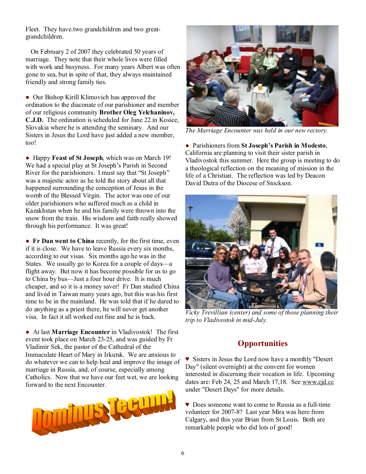Fleet. They have.two grandchildren and two greatgrandchildren.

 On February 2 of 2007 they celebrated 50 years of marriage. They note that their whole lives were filled with work and busyness. For many years Albert was often gone to sea, but in spite of that, they always maintained friendly and strong family ties.

● Our Bishop Kirill Klimovich has approved the ordination to the diaconate of our parishioner and member of our religious community **Brother Oleg Yelchaninov, C.J.D.** The ordination is scheduled for June 22 in Kosice, Slovakia where he is attending the seminary. And our Sisters in Jesus the Lord have just added a new member, too!

● Happy **Feast of St Joseph**, which was on March 19! We had a special play at St Joseph's Parish in Second River for the parishioners. I must say that "St Joseph" was a majestic actor as he told the story about all that happened surrounding the conception of Jesus in the womb of the Blessed Virgin. The actor was one of our older parishioners who suffered much as a child in Kazakhstan when he and his family were thrown into the snow from the train. His wisdom and faith really showed through his performance. It was great!

● **Fr Dan went to China** recently, for the first time, even if it is close. We have to leave Russia every six months, according to our visas. Six months ago he was in the States. We usually go to Korea for a couple of days—a flight away. But now it has become possible for us to go to China by bus—Just a four hour drive. It is much cheaper, and so it is a money saver! Fr Dan studied China and lived in Taiwan many years ago, but this was his first time to be in the mainland. He was told that if he dared to do anything as a priest there, he will never get another visa. In fact it all worked out fine and he is back.

● At last **Marriage Encounter** in Vladivostok! The first event took place on March 23-25, and was guided by Fr Vladimir Sek, the pastor of the Cathedral of the Immaculate Heart of Mary in Irkutsk. We are anxious to do whatever we can to help heal and improve the image of marriage in Russia, and, of course, especially among Catholics. Now that we have our feet wet, we are looking forward to the next Encounter.





*The Marriage Encounter was held in our new rectory.* 

● Parishioners from **St Joseph's Parish in Modesto**, California are planning to visit their sister parish in Vladivostok this summer. Here the group is meeting to do a theological reflection on the meaning of mission in the life of a Christian. The reflection was led by Deacon David Dutra of the Diocese of Stockson.



*Vicky Trevillian (center) and some of those planning their trip to Vladivostok in mid-July.* 

## **Opportunities**

♥ Sisters in Jesus the Lord now have a monthly "Desert Day" (silent overnight) at the convent for women interested in discerning their vocation in life. Upcoming dates are: Feb 24, 25 and March 17,18. See [www.cjd.cc](http://www.cjd.cc) under "Desert Days" for more details.

♥ Does someone want to come to Russia as a full-time volunteer for 2007-8? Last year Mira was here from Calgary, and this year Brian from St Louis. Both are remarkable people who did lots of good!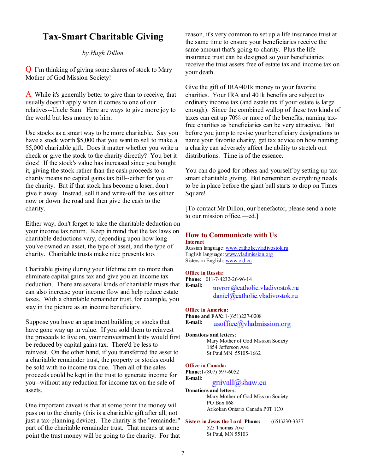# **Tax-Smart Charitable Giving**

#### *by Hugh Dillon*

Q I'm thinking of giving some shares of stock to Mary Mother of God Mission Society!

A While it's generally better to give than to receive, that usually doesn't apply when it comes to one of our relatives--Uncle Sam. Here are ways to give more joy to the world but less money to him.

Use stocks as a smart way to be more charitable. Say you have a stock worth \$5,000 that you want to sell to make a \$5,000 charitable gift. Does it matter whether you write a check or give the stock to the charity directly? You bet it does! If the stock's value has increased since you bought it, giving the stock rather than the cash proceeds to a charity means no capital gains tax bill--either for you or the charity. But if that stock has become a loser, don't give it away. Instead, sell it and write-off the loss either now or down the road and then give the cash to the charity.

Either way, don't forget to take the charitable deduction on your income tax return. Keep in mind that the tax laws on charitable deductions vary, depending upon how long you've owned an asset, the type of asset, and the type of charity. Charitable trusts make nice presents too.

Charitable giving during your lifetime can do more than eliminate capital gains tax and give you an income tax deduction. There are several kinds of charitable trusts that can also increase your income flow and help reduce estate taxes. With a charitable remainder trust, for example, you stay in the picture as an income beneficiary.

Suppose you have an apartment building or stocks that have gone way up in value. If you sold them to reinvest the proceeds to live on, your reinvestment kitty would first be reduced by capital gains tax. There'd be less to reinvest. On the other hand, if you transferred the asset to a charitable remainder trust, the property or stocks could be sold with no income tax due. Then all of the sales proceeds could be kept in the trust to generate income for you--without any reduction for income tax on the sale of assets.

One important caveat is that at some point the money will pass on to the charity (this is a charitable gift after all, not just a tax-planning device). The charity is the "remainder" part of the charitable remainder trust. That means at some point the trust money will be going to the charity. For that reason, it's very common to set up a life insurance trust at the same time to ensure your beneficiaries receive the same amount that's going to charity. Plus the life insurance trust can be designed so your beneficiaries receive the trust assets free of estate tax and income tax on your death.

Give the gift of IRA/401k money to your favorite charities. Your IRA and 401k benefits are subject to ordinary income tax (and estate tax if your estate is large enough). Since the combined wallop of these two kinds of taxes can eat up 70% or more of the benefits, naming taxfree charities as beneficiaries can be very attractive. But before you jump to revise your beneficiary designations to name your favorite charity, get tax advice on how naming a charity can adversely affect the ability to stretch out distributions. Time is of the essence.

You can do good for others and yourself by setting up taxsmart charitable giving. But remember: everything needs to be in place before the giant ball starts to drop on Times Square!

[To contact Mr Dillon, our benefactor, please send a note to our mission office.—ed.]

#### **How to Communicate with Us**

#### **Internet**

Russian language: [www.catholic.vladivostok.ru](http://www.catholic.vladivostok.ru) English language: [www.vladmission.org](http://www.vladmission.org) Sisters in English: [www.cjd.cc](http://www.cjd.cc)

#### **Office in Russia:**

**Phone:** 011-7-4232-26-96-14 **E-mail:**  myron@catholic.vladivostok.ru daniel@catholic.vladivostok.ru

#### **Office in America:**

**Phone and FAX:** 1-(651)227-0208 **E-mail:**  usoffice@vladmission.org

### **Donations and letters**:

Mary Mother of God Mission Society 1854 Jefferson Ave St Paul MN 55105-1662

#### **Office in Canada:**

**Phone**:1-(807) 597-6052 **E-mail**: gnivall@shaw.ca

**Donations and letters**: Mary Mother of God Mission Society PO Box 868 Atikokan Ontario Canada P0T 1C0

**Sisters in Jesus the Lord Phone:** (651)230-3337 525 Thomas Ave St Paul, MN 55103